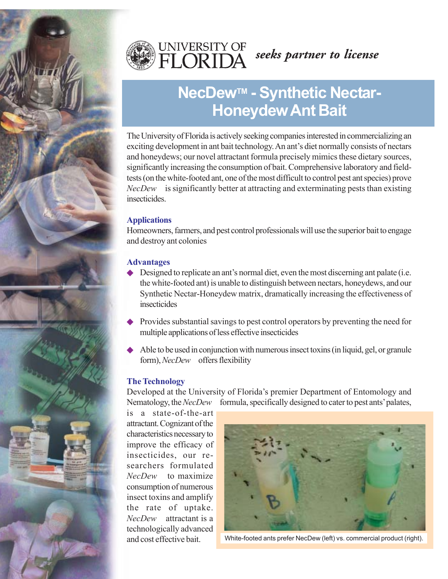



# **NecDew<sup>™</sup> - Synthetic Nectar-Honeydew Ant Bait**

The University of Florida is actively seeking companies interested in commercializing an exciting development in ant bait technology. An ant's diet normally consists of nectars and honeydews; our novel attractant formula precisely mimics these dietary sources, significantly increasing the consumption of bait. Comprehensive laboratory and fieldtests (on the white-footed ant, one of the most difficult to control pest ant species) prove *NecDew*<sup>™</sup> is significantly better at attracting and exterminating pests than existing **insecticides** 

#### **Applications**

Homeowners, farmers, and pest control professionals will use the superior bait to engage and destroy ant colonies

## **Advantages**

- $\blacklozenge$  Designed to replicate an ant's normal diet, even the most discerning ant palate (i.e. the white-footed ant) is unable to distinguish between nectars, honeydews, and our Synthetic Nectar-Honeydew matrix, dramatically increasing the effectiveness of insecticides
- Provides substantial savings to pest control operators by preventing the need for multiple applications of less effective insecticides
- Able to be used in conjunction with numerous insect toxins (in liquid, gel, or granule form), *NecDew*<sup>™</sup> offers flexibility

## **The Technology**

Developed at the University of Florida's premier Department of Entomology and Nematology, the *NecDew*<sup>™</sup> formula, specifically designed to cater to pest ants' palates,

is a state-of-the-art attractant. Cognizant of the characteristics necessary to improve the efficacy of insecticides, our researchers formulated *NecDew*<sup>™</sup> to maximize consumption of numerous insect toxins and amplify the rate of uptake. *NecDew*<sup>™</sup> attractant is a technologically advanced



and cost effective bait. White-footed ants prefer NecDew (left) vs. commercial product (right).